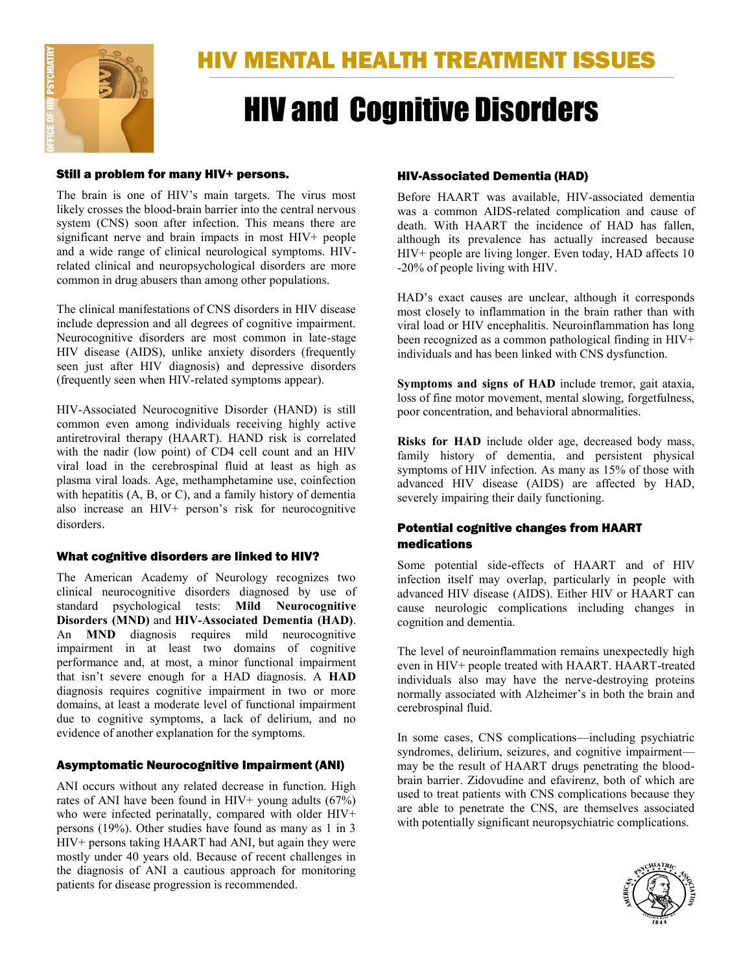

# HIV and Cognitive Disorders

### Still a problem for many HIV+ persons.

The brain is one of HIV's main targets. The virus most likely crosses the blood-brain barrier into the central nervous system (CNS) soon after infection. This means there are significant nerve and brain impacts in most HIV+ people and a wide range of clinical neurological symptoms. HIVrelated clinical and neuropsychological disorders are more common in drug abusers than among other populations.

The clinical manifestations of CNS disorders in HIV disease include depression and all degrees of cognitive impairment. Neurocognitive disorders are most common in late-stage HIV disease (AIDS), unlike anxiety disorders (frequently seen just after HIV diagnosis) and depressive disorders (frequently seen when HIV-related symptoms appear).

HIV-Associated Neurocognitive Disorder (HAND) is still common even among individuals receiving highly active antiretroviral therapy (HAART). HAND risk is correlated with the nadir (low point) of CD4 cell count and an HIV viral load in the cerebrospinal fluid at least as high as plasma viral loads. Age, methamphetamine use, coinfection with hepatitis (A, B, or C), and a family history of dementia also increase an HIV+ person's risk for neurocognitive disorders.

# What cognitive disorders are linked to HIV?

The American Academy of Neurology recognizes two clinical neurocognitive disorders diagnosed by use of standard psychological tests: **Mild Neurocognitive Disorders (MND)** and **HIV-Associated Dementia (HAD)**. An **MND** diagnosis requires mild neurocognitive impairment in at least two domains of cognitive performance and, at most, a minor functional impairment that isn't severe enough for a HAD diagnosis. A **HAD** diagnosis requires cognitive impairment in two or more domains, at least a moderate level of functional impairment due to cognitive symptoms, a lack of delirium, and no evidence of another explanation for the symptoms.

# Asymptomatic Neurocognitive Impairment (ANI)

ANI occurs without any related decrease in function. High rates of ANI have been found in HIV+ young adults (67%) who were infected perinatally, compared with older HIV+ persons (19%). Other studies have found as many as 1 in 3 HIV+ persons taking HAART had ANI, but again they were mostly under 40 years old. Because of recent challenges in the diagnosis of ANI a cautious approach for monitoring patients for disease progression is recommended.

## HIV-Associated Dementia (HAD)

Before HAART was available, HIV-associated dementia was a common AIDS-related complication and cause of death. With HAART the incidence of HAD has fallen, although its prevalence has actually increased because HIV+ people are living longer. Even today, HAD affects 10 -20% of people living with HIV.

HAD's exact causes are unclear, although it corresponds most closely to inflammation in the brain rather than with viral load or HIV encephalitis. Neuroinflammation has long been recognized as a common pathological finding in HIV+ individuals and has been linked with CNS dysfunction.

**Symptoms and signs of HAD** include tremor, gait ataxia, loss of fine motor movement, mental slowing, forgetfulness, poor concentration, and behavioral abnormalities.

**Risks for HAD** include older age, decreased body mass, family history of dementia, and persistent physical symptoms of HIV infection. As many as 15% of those with advanced HIV disease (AIDS) are affected by HAD, severely impairing their daily functioning.

# Potential cognitive changes from HAART medications

Some potential side-effects of HAART and of HIV infection itself may overlap, particularly in people with advanced HIV disease (AIDS). Either HIV or HAART can cause neurologic complications including changes in cognition and dementia.

The level of neuroinflammation remains unexpectedly high even in HIV+ people treated with HAART. HAART-treated individuals also may have the nerve-destroying proteins normally associated with Alzheimer's in both the brain and cerebrospinal fluid.

In some cases, CNS complications—including psychiatric syndromes, delirium, seizures, and cognitive impairment may be the result of HAART drugs penetrating the bloodbrain barrier. Zidovudine and efavirenz, both of which are used to treat patients with CNS complications because they are able to penetrate the CNS, are themselves associated with potentially significant neuropsychiatric complications.